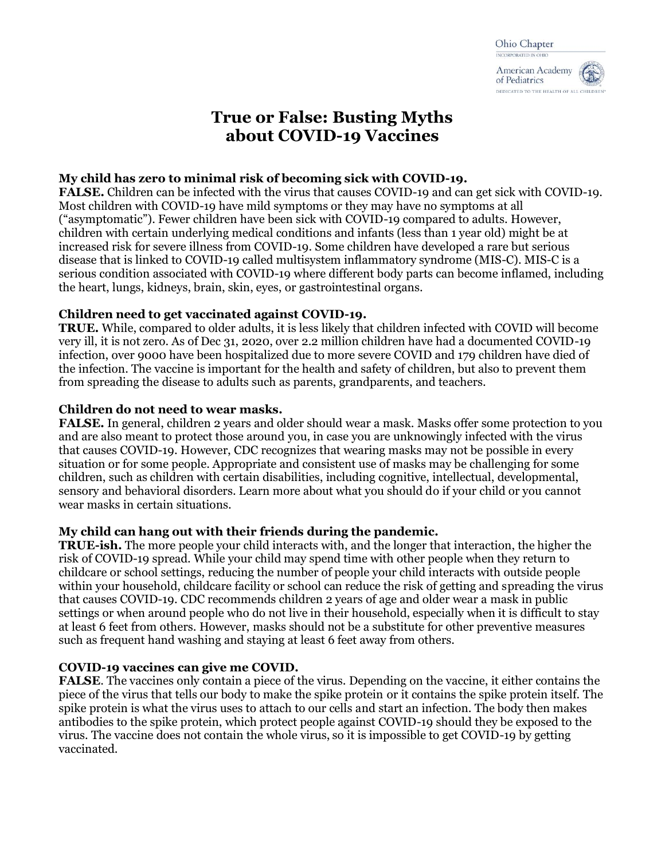# **True or False: Busting Myths about COVID-19 Vaccines**

# **My child has zero to minimal risk of becoming sick with COVID-19.**

**FALSE.** Children can be infected with the virus that causes COVID-19 and can get sick with COVID-19. Most children with COVID-19 have mild symptoms or they may have no symptoms at all ("asymptomatic"). Fewer children have been sick with COVID-19 compared to adults. However, children with certain underlying medical conditions and infants (less than 1 year old) might be at increased risk for severe illness from COVID-19. Some children have developed a rare but serious disease that is linked to COVID-19 called multisystem inflammatory syndrome (MIS-C). MIS-C is a serious condition associated with COVID-19 where different body parts can become inflamed, including the heart, lungs, kidneys, brain, skin, eyes, or gastrointestinal organs.

## **Children need to get vaccinated against COVID-19.**

**TRUE.** While, compared to older adults, it is less likely that children infected with COVID will become very ill, it is not zero. As of Dec 31, 2020, over 2.2 million children have had a documented COVID-19 infection, over 9000 have been hospitalized due to more severe COVID and 179 children have died of the infection. The vaccine is important for the health and safety of children, but also to prevent them from spreading the disease to adults such as parents, grandparents, and teachers.

## **Children do not need to wear masks.**

**FALSE.** In general, children 2 years and older should wear a mask. Masks offer some protection to you and are also meant to protect those around you, in case you are unknowingly infected with the virus that causes COVID-19. However, CDC recognizes that wearing masks may not be possible in every situation or for some people. Appropriate and consistent use of masks may be challenging for some children, such as children with certain disabilities, including cognitive, intellectual, developmental, sensory and behavioral disorders. Learn more about what you should do if your child or you cannot wear masks in certain situations.

## **My child can hang out with their friends during the pandemic.**

**TRUE-ish.** The more people your child interacts with, and the longer that interaction, the higher the risk of COVID-19 spread. While your child may spend time with other people when they return to childcare or school settings, reducing the number of people your child interacts with outside people within your household, childcare facility or school can reduce the risk of getting and spreading the virus that causes COVID-19. CDC recommends children 2 years of age and older wear a mask in public settings or when around people who do not live in their household, especially when it is difficult to stay at least 6 feet from others. However, masks should not be a substitute for other preventive measures such as frequent hand washing and staying at least 6 feet away from others.

## **COVID-19 vaccines can give me COVID.**

**FALSE**. The vaccines only contain a piece of the virus. Depending on the vaccine, it either contains the piece of the virus that tells our body to make the spike protein or it contains the spike protein itself. The spike protein is what the virus uses to attach to our cells and start an infection. The body then makes antibodies to the spike protein, which protect people against COVID-19 should they be exposed to the virus. The vaccine does not contain the whole virus, so it is impossible to get COVID-19 by getting vaccinated.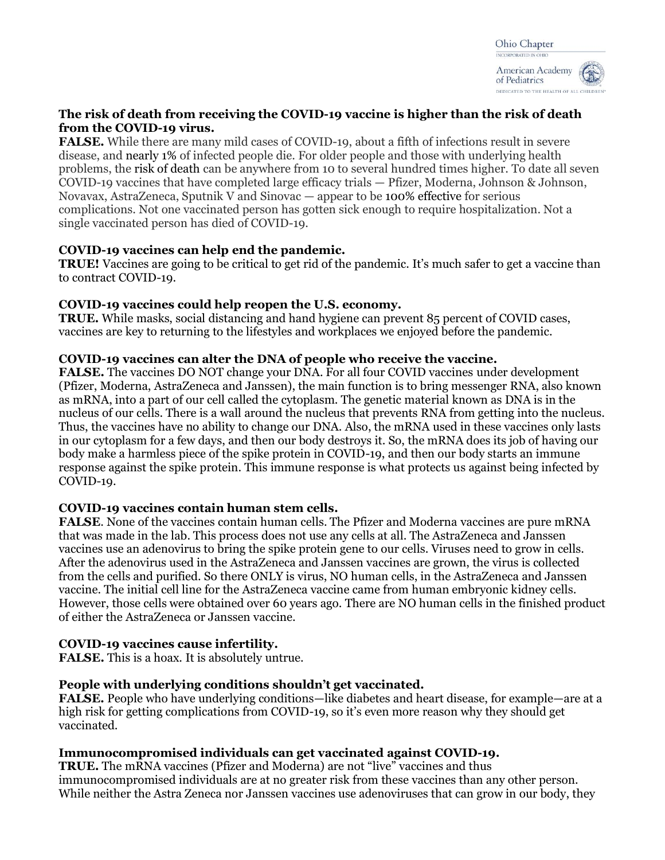

## **The risk of death from receiving the COVID-19 vaccine is higher than the risk of death from the COVID-19 virus.**

**FALSE.** While there are many mild cases of COVID-19, about a fifth of infections result in severe disease, and nearly 1% of infected people die. For older people and those with underlying health problems, the risk of death can be anywhere from 10 to several hundred times higher. To date all seven COVID-19 vaccines that have completed large efficacy trials — Pfizer, Moderna, Johnson & Johnson, Novavax, AstraZeneca, Sputnik V and Sinovac — appear to be 100% effective for serious complications. Not one vaccinated person has gotten sick enough to require hospitalization. Not a single vaccinated person has died of COVID-19.

## **COVID-19 vaccines can help end the pandemic.**

**TRUE!** Vaccines are going to be critical to get rid of the pandemic. It's much safer to get a vaccine than to contract COVID-19.

## **COVID-19 vaccines could help reopen the U.S. economy.**

**TRUE.** While masks, social distancing and hand hygiene can prevent 85 percent of COVID cases, vaccines are key to returning to the lifestyles and workplaces we enjoyed before the pandemic.

## **COVID-19 vaccines can alter the DNA of people who receive the vaccine.**

**FALSE.** The vaccines DO NOT change your DNA. For all four COVID vaccines under development (Pfizer, Moderna, AstraZeneca and Janssen), the main function is to bring messenger RNA, also known as mRNA, into a part of our cell called the cytoplasm. The genetic material known as DNA is in the nucleus of our cells. There is a wall around the nucleus that prevents RNA from getting into the nucleus. Thus, the vaccines have no ability to change our DNA. Also, the mRNA used in these vaccines only lasts in our cytoplasm for a few days, and then our body destroys it. So, the mRNA does its job of having our body make a harmless piece of the spike protein in COVID-19, and then our body starts an immune response against the spike protein. This immune response is what protects us against being infected by COVID-19.

## **COVID-19 vaccines contain human stem cells.**

**FALSE**. None of the vaccines contain human cells. The Pfizer and Moderna vaccines are pure mRNA that was made in the lab. This process does not use any cells at all. The AstraZeneca and Janssen vaccines use an adenovirus to bring the spike protein gene to our cells. Viruses need to grow in cells. After the adenovirus used in the AstraZeneca and Janssen vaccines are grown, the virus is collected from the cells and purified. So there ONLY is virus, NO human cells, in the AstraZeneca and Janssen vaccine. The initial cell line for the AstraZeneca vaccine came from human embryonic kidney cells. However, those cells were obtained over 60 years ago. There are NO human cells in the finished product of either the AstraZeneca or Janssen vaccine.

## **COVID-19 vaccines cause infertility.**

**FALSE.** This is a hoax. It is absolutely untrue.

## **People with underlying conditions shouldn't get vaccinated.**

**FALSE.** People who have underlying conditions—like diabetes and heart disease, for example—are at a high risk for getting complications from COVID-19, so it's even more reason why they should get vaccinated.

## **Immunocompromised individuals can get vaccinated against COVID-19.**

**TRUE.** The mRNA vaccines (Pfizer and Moderna) are not "live" vaccines and thus immunocompromised individuals are at no greater risk from these vaccines than any other person. While neither the Astra Zeneca nor Janssen vaccines use adenoviruses that can grow in our body, they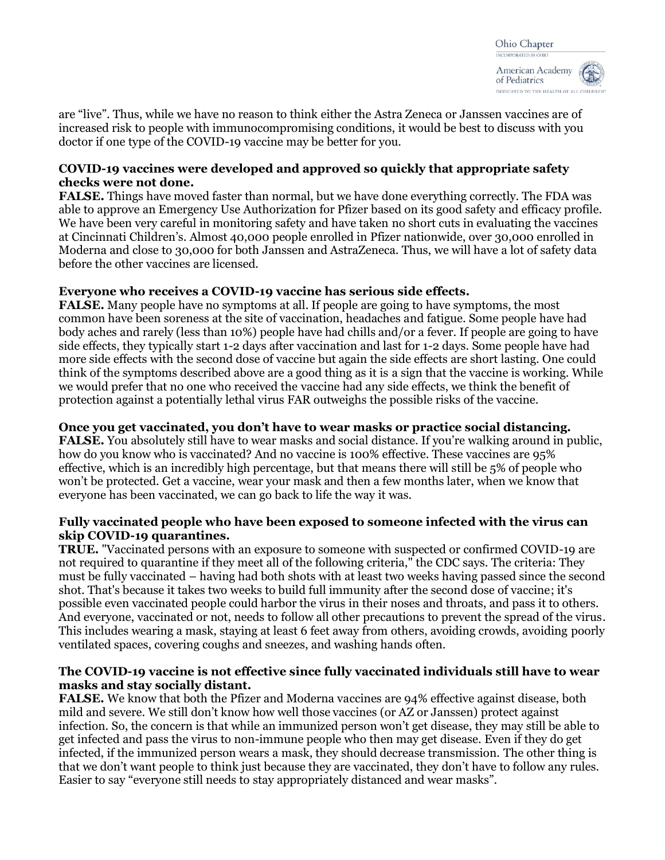are "live". Thus, while we have no reason to think either the Astra Zeneca or Janssen vaccines are of increased risk to people with immunocompromising conditions, it would be best to discuss with you doctor if one type of the COVID-19 vaccine may be better for you.

## **COVID-19 vaccines were developed and approved so quickly that appropriate safety checks were not done.**

**FALSE.** Things have moved faster than normal, but we have done everything correctly. The FDA was able to approve an Emergency Use Authorization for Pfizer based on its good safety and efficacy profile. We have been very careful in monitoring safety and have taken no short cuts in evaluating the vaccines at Cincinnati Children's. Almost 40,000 people enrolled in Pfizer nationwide, over 30,000 enrolled in Moderna and close to 30,000 for both Janssen and AstraZeneca. Thus, we will have a lot of safety data before the other vaccines are licensed.

## **Everyone who receives a COVID-19 vaccine has serious side effects.**

**FALSE.** Many people have no symptoms at all. If people are going to have symptoms, the most common have been soreness at the site of vaccination, headaches and fatigue. Some people have had body aches and rarely (less than 10%) people have had chills and/or a fever. If people are going to have side effects, they typically start 1-2 days after vaccination and last for 1-2 days. Some people have had more side effects with the second dose of vaccine but again the side effects are short lasting. One could think of the symptoms described above are a good thing as it is a sign that the vaccine is working. While we would prefer that no one who received the vaccine had any side effects, we think the benefit of protection against a potentially lethal virus FAR outweighs the possible risks of the vaccine.

## **Once you get vaccinated, you don't have to wear masks or practice social distancing.**

**FALSE.** You absolutely still have to wear masks and social distance. If you're walking around in public, how do you know who is vaccinated? And no vaccine is 100% effective. These vaccines are 95% effective, which is an incredibly high percentage, but that means there will still be 5% of people who won't be protected. Get a vaccine, wear your mask and then a few months later, when we know that everyone has been vaccinated, we can go back to life the way it was.

## **Fully vaccinated people who have been exposed to someone infected with the virus can skip COVID-19 quarantines.**

**TRUE.** "Vaccinated persons with an exposure to someone with suspected or confirmed COVID-19 are not required to quarantine if they meet all of the following criteria," the CDC says. The criteria: They must be fully vaccinated – having had both shots with at least two weeks having passed since the second shot. That's because it takes two weeks to build full immunity after the second dose of vaccine; it's possible even vaccinated people could harbor the virus in their noses and throats, and pass it to others. And everyone, vaccinated or not, needs to follow all other precautions to prevent the spread of the virus. This includes wearing a mask, staying at least 6 feet away from others, avoiding crowds, avoiding poorly ventilated spaces, covering coughs and sneezes, and washing hands often.

## **The COVID-19 vaccine is not effective since fully vaccinated individuals still have to wear masks and stay socially distant.**

**FALSE.** We know that both the Pfizer and Moderna vaccines are 94% effective against disease, both mild and severe. We still don't know how well those vaccines (or AZ or Janssen) protect against infection. So, the concern is that while an immunized person won't get disease, they may still be able to get infected and pass the virus to non-immune people who then may get disease. Even if they do get infected, if the immunized person wears a mask, they should decrease transmission. The other thing is that we don't want people to think just because they are vaccinated, they don't have to follow any rules. Easier to say "everyone still needs to stay appropriately distanced and wear masks".